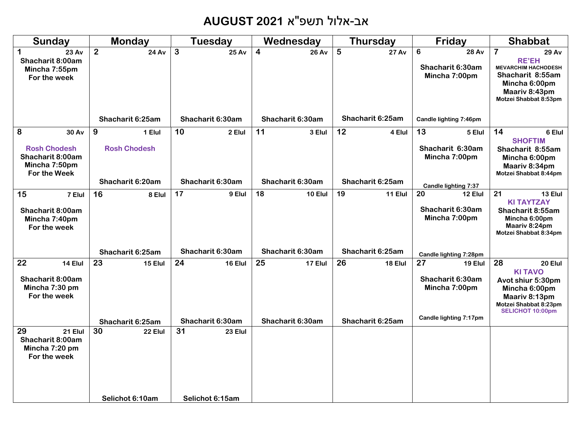# אב-אלול תשפ"א **2021 AUGUST**

| Sunday                                                                                 | <b>Monday</b>                      | <b>Tuesday</b>               | Wednesday                      | <b>Thursday</b>   | Friday                                                 | <b>Shabbat</b>                                                                                                                                                |
|----------------------------------------------------------------------------------------|------------------------------------|------------------------------|--------------------------------|-------------------|--------------------------------------------------------|---------------------------------------------------------------------------------------------------------------------------------------------------------------|
| $\mathbf 1$<br>23 Av<br>Shacharit 8:00am<br>Mincha 7:55pm<br>For the week              | 2 <sup>1</sup><br><b>24 Av</b>     | $\mathbf{3}$<br><b>25 Av</b> | $\overline{4}$<br><b>26 Av</b> | 5<br><b>27 Av</b> | 6<br><b>28 Av</b><br>Shacharit 6:30am<br>Mincha 7:00pm | $\overline{\mathbf{7}}$<br>29 Av<br><b>RE'EH</b><br><b>MEVARCHIM HACHODESH</b><br>Shacharit 8:55am<br>Mincha 6:00pm<br>Maariv 8:43pm<br>Motzei Shabbat 8:53pm |
|                                                                                        | Shacharit 6:25am                   | Shacharit 6:30am             | Shacharit 6:30am               | Shacharit 6:25am  | Candle lighting 7:46pm                                 |                                                                                                                                                               |
| 8<br>30 Av<br><b>Rosh Chodesh</b><br>Shacharit 8:00am<br>Mincha 7:50pm<br>For the Week | 9<br>1 Elul<br><b>Rosh Chodesh</b> | 10<br>2 Elul                 | 11<br>3 Elul                   | 12<br>4 Elul      | 13<br>5 Elul<br>Shacharit 6:30am<br>Mincha 7:00pm      | 14<br>6 Elul<br><b>SHOFTIM</b><br>Shacharit 8:55am<br>Mincha 6:00pm<br>Maariv 8:34pm<br>Motzei Shabbat 8:44pm                                                 |
|                                                                                        | Shacharit 6:20am                   | Shacharit 6:30am             | Shacharit 6:30am               | Shacharit 6:25am  | Candle lighting 7:37                                   |                                                                                                                                                               |
| 15<br>7 Elul<br>Shacharit 8:00am<br>Mincha 7:40pm<br>For the week                      | 16<br>8 Elul                       | 17<br>9 Elul                 | 18<br>10 Elul                  | 19<br>11 Elul     | 20<br>12 Elul<br>Shacharit 6:30am<br>Mincha 7:00pm     | 21<br>13 Elul<br><b>KI TAYTZAY</b><br>Shacharit 8:55am<br>Mincha 6:00pm<br>Maariv 8:24pm<br>Motzei Shabbat 8:34pm                                             |
|                                                                                        | Shacharit 6:25am                   | Shacharit 6:30am             | Shacharit 6:30am               | Shacharit 6:25am  | Candle lighting 7:28pm                                 |                                                                                                                                                               |
| 22<br>14 Elul<br>Shacharit 8:00am<br>Mincha 7:30 pm<br>For the week                    | 23<br>15 Elul                      | 24<br>16 Elul                | 25<br>17 Elul                  | 26<br>18 Elul     | 27<br>19 Elul<br>Shacharit 6:30am<br>Mincha 7:00pm     | 28<br>20 Elul<br><b>KITAVO</b><br>Avot shiur 5:30pm<br>Mincha 6:00pm<br>Maariv 8:13pm<br>Motzei Shabbat 8:23pm<br>SELICHOT 10:00pm                            |
|                                                                                        | Shacharit 6:25am                   | Shacharit 6:30am             | Shacharit 6:30am               | Shacharit 6:25am  | Candle lighting 7:17pm                                 |                                                                                                                                                               |
| 29<br>21 Elul<br>Shacharit 8:00am<br>Mincha 7:20 pm<br>For the week                    | 30<br>22 Elul                      | 31<br>23 Elul                |                                |                   |                                                        |                                                                                                                                                               |
|                                                                                        | Selichot 6:10am                    | Selichot 6:15am              |                                |                   |                                                        |                                                                                                                                                               |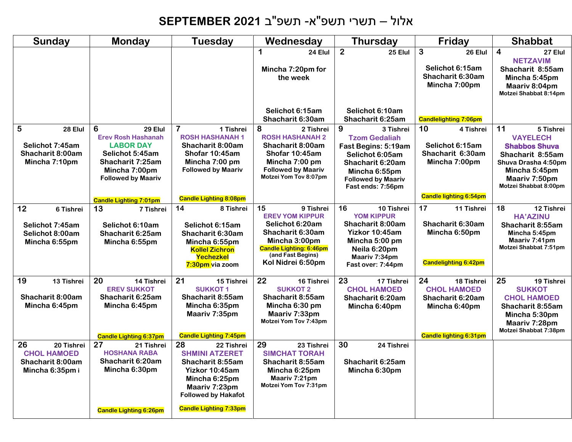# אלול – תשרי תשפ"א- תשפ"ב **2021 SEPTEMBER**

| <b>Sunday</b>                                                                 | <b>Monday</b>                                                                                                                                             | <b>Tuesday</b>                                                                                                                                                                   | Wednesday                                                                                                                                                                     | <b>Thursday</b>                                                                                                                                                         | Friday                                                                                                       | <b>Shabbat</b>                                                                                                                                                   |
|-------------------------------------------------------------------------------|-----------------------------------------------------------------------------------------------------------------------------------------------------------|----------------------------------------------------------------------------------------------------------------------------------------------------------------------------------|-------------------------------------------------------------------------------------------------------------------------------------------------------------------------------|-------------------------------------------------------------------------------------------------------------------------------------------------------------------------|--------------------------------------------------------------------------------------------------------------|------------------------------------------------------------------------------------------------------------------------------------------------------------------|
|                                                                               |                                                                                                                                                           |                                                                                                                                                                                  | 1<br>24 Elul<br>Mincha 7:20pm for<br>the week                                                                                                                                 | $\overline{2}$<br>25 Elul                                                                                                                                               | 3<br>26 Elul<br>Selichot 6:15am<br>Shacharit 6:30am<br>Mincha 7:00pm                                         | $\overline{4}$<br>27 Elul<br><b>NETZAVIM</b><br>Shacharit 8:55am<br>Mincha 5:45pm<br>Maariv 8:04pm<br>Motzei Shabbat 8:14pm                                      |
|                                                                               |                                                                                                                                                           |                                                                                                                                                                                  | Selichot 6:15am<br>Shacharit 6:30am                                                                                                                                           | Selichot 6:10am<br>Shacharit 6:25am                                                                                                                                     | <b>Candlelighting 7:06pm</b>                                                                                 |                                                                                                                                                                  |
| 5<br>28 Elul<br>Selichot 7:45am<br>Shacharit 8:00am<br>Mincha 7:10pm          | 6<br>29 Elul<br><b>Erev Rosh Hashanah</b><br><b>LABOR DAY</b><br>Selichot 5:45am<br><b>Shacharit 7:25am</b><br>Mincha 7:00pm<br><b>Followed by Maariv</b> | $\overline{\mathbf{7}}$<br>1 Tishrei<br><b>ROSH HASHANAH1</b><br>Shacharit 8:00am<br>Shofar 10:45am<br>Mincha 7:00 pm<br><b>Followed by Maariv</b>                               | 8<br>2 Tishrei<br><b>ROSH HASHANAH 2</b><br>Shacharit 8:00am<br>Shofar 10:45am<br>Mincha 7:00 pm<br><b>Followed by Maariv</b><br>Motzei Yom Tov 8:07pm                        | 9<br>3 Tishrei<br><b>Tzom Gedaliah</b><br>Fast Begins: 5:19am<br>Selichot 6:05am<br>Shacharit 6:20am<br>Mincha 6:55pm<br><b>Followed by Maariv</b><br>Fast ends: 7:56pm | 10<br>4 Tishrei<br>Selichot 6:15am<br>Shacharit 6:30am<br>Mincha 7:00pm                                      | 11<br>5 Tishrei<br><b>VAYELECH</b><br><b>Shabbos Shuva</b><br>Shacharit 8:55am<br>Shuva Drasha 4:50pm<br>Mincha 5:45pm<br>Maariv 7:50pm<br>Motzei Shabbat 8:00pm |
|                                                                               | <b>Candle Lighting 7:01pm</b>                                                                                                                             | <b>Candle Lighting 8:08pm</b>                                                                                                                                                    |                                                                                                                                                                               |                                                                                                                                                                         | <b>Candle lighting 6:54pm</b>                                                                                |                                                                                                                                                                  |
| 12<br>6 Tishrei<br>Selichot 7:45am<br>Selichot 8:00am<br>Mincha 6:55pm        | 13<br>7 Tishrei<br>Selichot 6:10am<br>Shacharit 6:25am<br>Mincha 6:55pm                                                                                   | 14<br>8 Tishrei<br>Selichot 6:15am<br>Shacharit 6:30am<br>Mincha 6:55pm<br><b>Kollel Zichron</b><br>Yechezkel<br>7:30pm via zoom                                                 | 15<br>9 Tishrei<br><b>EREV YOM KIPPUR</b><br>Selichot 6:20am<br>Shacharit 6:30am<br>Mincha 3:00pm<br><b>Candle Lighting: 6:46pm</b><br>(and Fast Begins)<br>Kol Nidrei 6:50pm | 16<br>10 Tishrei<br><b>YOM KIPPUR</b><br>Shacharit 8:00am<br>Yizkor 10:45am<br>Mincha 5:00 pm<br>Neila 6:20pm<br>Maariv 7:34pm<br>Fast over: 7:44pm                     | 17<br>11 Tishrei<br>Shacharit 6:30am<br>Mincha 6:50pm<br><b>Candelighting 6:42pm</b>                         | 18<br>12 Tishrei<br><b>HA'AZINU</b><br>Shacharit 8:55am<br>Mincha 5:45pm<br>Maariv 7:41pm<br>Motzei Shabbat 7:51pm                                               |
| 19<br>13 Tishrei<br>Shacharit 8:00am<br>Mincha 6:45pm                         | 20<br>14 Tishrei<br><b>EREV SUKKOT</b><br>Shacharit 6:25am<br>Mincha 6:45pm<br><b>Candle Lighting 6:37pm</b>                                              | 21<br>15 Tishrei<br><b>SUKKOT1</b><br>Shacharit 8:55am<br>Mincha 6:35pm<br>Maariv 7:35pm<br><b>Candle Lighting 7:45pm</b>                                                        | 22<br>16 Tishrei<br><b>SUKKOT 2</b><br>Shacharit 8:55am<br>Mincha 6:30 pm<br>Maariv 7:33pm<br>Motzei Yom Tov 7:43pm                                                           | 23<br>17 Tishrei<br><b>CHOL HAMOED</b><br>Shacharit 6:20am<br>Mincha 6:40pm                                                                                             | 24<br>18 Tishrei<br><b>CHOL HAMOED</b><br>Shacharit 6:20am<br>Mincha 6:40pm<br><b>Candle lighting 6:31pm</b> | 25<br>19 Tishrei<br><b>SUKKOT</b><br><b>CHOL HAMOED</b><br>Shacharit 8:55am<br>Mincha 5:30pm<br>Maariv 7:28pm<br>Motzei Shabbat 7:38pm                           |
| 26<br>20 Tishrei<br><b>CHOL HAMOED</b><br>Shacharit 8:00am<br>Mincha 6:35pm i | 27<br>21 Tishrei<br><b>HOSHANA RABA</b><br>Shacharit 6:20am<br>Mincha 6:30pm<br><b>Candle Lighting 6:26pm</b>                                             | 28<br>22 Tishrei<br><b>SHMINI ATZERET</b><br>Shacharit 8:55am<br>Yizkor 10:45am<br>Mincha 6:25pm<br>Maariv 7:23pm<br><b>Followed by Hakafot</b><br><b>Candle Lighting 7:33pm</b> | 29<br>23 Tishrei<br><b>SIMCHAT TORAH</b><br>Shacharit 8:55am<br>Mincha 6:25pm<br>Maariv 7:21pm<br>Motzei Yom Tov 7:31pm                                                       | 30<br>24 Tishrei<br>Shacharit 6:25am<br>Mincha 6:30pm                                                                                                                   |                                                                                                              |                                                                                                                                                                  |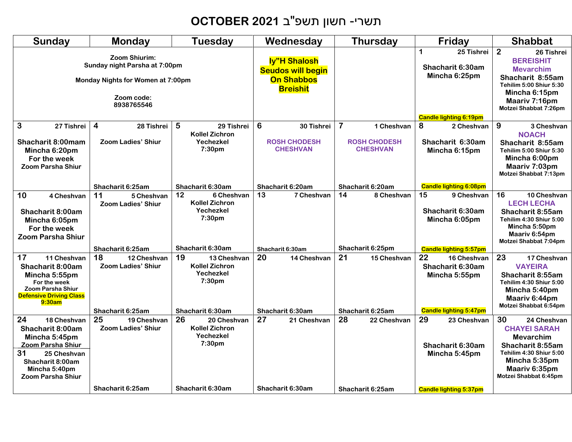# תשרי- חשון תשפ"ב **2021 OCTOBER**

| Sunday                                                                                                                                                                   | <b>Monday</b>                                                                          | <b>Tuesday</b>                                                                                            | Wednesday                                                                     | <b>Thursday</b>                                                                            | Friday                                                                                                                                                                         | <b>Shabbat</b>                                                                                                                                                         |
|--------------------------------------------------------------------------------------------------------------------------------------------------------------------------|----------------------------------------------------------------------------------------|-----------------------------------------------------------------------------------------------------------|-------------------------------------------------------------------------------|--------------------------------------------------------------------------------------------|--------------------------------------------------------------------------------------------------------------------------------------------------------------------------------|------------------------------------------------------------------------------------------------------------------------------------------------------------------------|
| Zoom Shiurim:<br>Sunday night Parsha at 7:00pm<br>Monday Nights for Women at 7:00pm<br>Zoom code:<br>8938765546                                                          |                                                                                        | ly"H Shalosh<br><b>Seudos will begin</b><br><b>On Shabbos</b><br><b>Breishit</b>                          |                                                                               | 1<br>25 Tishrei<br>Shacharit 6:30am<br>Mincha 6:25pm<br><b>Candle lighting 6:19pm</b>      | $\overline{2}$<br>26 Tishrei<br><b>BEREISHIT</b><br><b>Mevarchim</b><br>Shacharit 8:55am<br>Tehilim 5:00 Shiur 5:30<br>Mincha 6:15pm<br>Maariv 7:16pm<br>Motzei Shabbat 7:26pm |                                                                                                                                                                        |
| 3<br>27 Tishrei<br><b>Shacharit 8:00mam</b><br>Mincha 6:20pm<br>For the week<br><b>Zoom Parsha Shiur</b>                                                                 | $\overline{\mathbf{4}}$<br>28 Tishrei<br><b>Zoom Ladies' Shiur</b><br>Shacharit 6:25am | 5<br>29 Tishrei<br><b>Kollel Zichron</b><br>Yechezkel<br>7:30pm<br>Shacharit 6:30am                       | 6<br>30 Tishrei<br><b>ROSH CHODESH</b><br><b>CHESHVAN</b><br>Shacharit 6:20am | $\overline{7}$<br>1 Cheshvan<br><b>ROSH CHODESH</b><br><b>CHESHVAN</b><br>Shacharit 6:20am | 8<br>2 Cheshvan<br>Shacharit 6:30am<br>Mincha 6:15pm<br><b>Candle lighting 6:08pm</b>                                                                                          | 9<br>3 Cheshvan<br><b>NOACH</b><br>Shacharit 8:55am<br>Tehilim 5:00 Shiur 5:30<br>Mincha 6:00pm<br>Maariv 7:03pm<br>Motzei Shabbat 7:13pm                              |
| 10<br>4 Cheshvan<br>Shacharit 8:00am<br>Mincha 6:05pm<br>For the week<br><b>Zoom Parsha Shiur</b>                                                                        | 11<br>5 Cheshvan<br><b>Zoom Ladies' Shiur</b>                                          | 12<br>6 Cheshvan<br><b>Kollel Zichron</b><br>Yechezkel<br>7:30 <sub>pm</sub>                              | 13<br>7 Cheshvan                                                              | 14<br>8 Cheshvan                                                                           | 15<br>9 Cheshvan<br>Shacharit 6:30am<br>Mincha 6:05pm                                                                                                                          | 16<br>10 Cheshvan<br><b>LECH LECHA</b><br>Shacharit 8:55am<br>Tehilim 4:30 Shiur 5:00<br>Mincha 5:50pm<br>Maariv 6:54pm<br>Motzei Shabbat 7:04pm                       |
| 17<br>11 Cheshvan<br><b>Shacharit 8:00am</b><br>Mincha 5:55pm<br>For the week<br><b>Zoom Parsha Shiur</b><br><b>Defensive Driving Class</b><br>9:30am                    | Shacharit 6:25am<br>18<br>12 Cheshvan<br><b>Zoom Ladies' Shiur</b><br>Shacharit 6:25am | Shacharit 6:30am<br>19<br>13 Cheshvan<br><b>Kollel Zichron</b><br>Yechezkel<br>7:30pm<br>Shacharit 6:30am | Shacharit 6:30am<br>20<br>14 Cheshvan<br>Shacharit 6:30am                     | Shacharit 6:25pm<br>21<br>15 Cheshvan<br>Shacharit 6:25am                                  | <b>Candle lighting 5:57pm</b><br>22<br>16 Cheshvan<br>Shacharit 6:30am<br>Mincha 5:55pm<br><b>Candle lighting 5:47pm</b>                                                       | 23<br>17 Cheshvan<br><b>VAYEIRA</b><br>Shacharit 8:55am<br>Tehilim 4:30 Shiur 5:00<br>Mincha 5:40pm<br>Maariv 6:44pm<br>Motzei Shabbat 6:54pm                          |
| 24<br>18 Cheshvan<br>Shacharit 8:00am<br>Mincha 5:45pm<br><b>Zoom Parsha Shiur</b><br>31<br>25 Cheshvan<br>Shacharit 8:00am<br>Mincha 5:40pm<br><b>Zoom Parsha Shiur</b> | 25<br>19 Cheshvan<br><b>Zoom Ladies' Shiur</b><br>Shacharit 6:25am                     | 26<br>20 Cheshvan<br><b>Kollel Zichron</b><br>Yechezkel<br>7:30pm<br>Shacharit 6:30am                     | 27<br>21 Cheshvan<br>Shacharit 6:30am                                         | 28<br>22 Cheshvan<br>Shacharit 6:25am                                                      | 29<br>23 Cheshvan<br>Shacharit 6:30am<br>Mincha 5:45pm<br><b>Candle lighting 5:37pm</b>                                                                                        | 30<br>24 Cheshvan<br><b>CHAYEI SARAH</b><br><b>Mevarchim</b><br>Shacharit 8:55am<br>Tehilim 4:30 Shiur 5:00<br>Mincha 5:35pm<br>Maariv 6:35pm<br>Motzei Shabbat 6:45pm |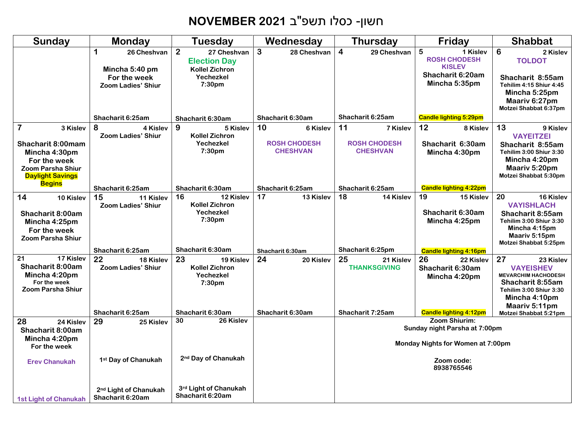# חשון- כסלו תשפ"ב **2021 NOVEMBER**

| <b>Sunday</b>                                                                                                                                    | <b>Monday</b>                                         | <b>Tuesday</b>                                                                | Wednesday                                                | <b>Thursday</b>                                          | Friday                                                             | <b>Shabbat</b>                                                                                                                                     |
|--------------------------------------------------------------------------------------------------------------------------------------------------|-------------------------------------------------------|-------------------------------------------------------------------------------|----------------------------------------------------------|----------------------------------------------------------|--------------------------------------------------------------------|----------------------------------------------------------------------------------------------------------------------------------------------------|
|                                                                                                                                                  | 1<br>26 Cheshvan<br>Mincha 5:40 pm                    | $\overline{2}$<br>27 Cheshvan<br><b>Election Day</b><br><b>Kollel Zichron</b> | $\mathbf{3}$<br>28 Cheshvan                              | $\overline{4}$<br>29 Cheshvan                            | $5\phantom{1}$<br>1 Kislev<br><b>ROSH CHODESH</b><br><b>KISLEV</b> | 6<br>2 Kislev<br><b>TOLDOT</b>                                                                                                                     |
|                                                                                                                                                  | For the week<br><b>Zoom Ladies' Shiur</b>             | Yechezkel<br>7:30pm                                                           |                                                          |                                                          | Shacharit 6:20am<br>Mincha 5:35pm                                  | Shacharit 8:55am<br><b>Tehilim 4:15 Shiur 4:45</b><br>Mincha 5:25pm<br>Maariv 6:27pm<br>Motzei Shabbat 6:37pm                                      |
|                                                                                                                                                  | Shacharit 6:25am                                      | Shacharit 6:30am                                                              | Shacharit 6:30am                                         | Shacharit 6:25am                                         | <b>Candle lighting 5:29pm</b>                                      |                                                                                                                                                    |
| $\overline{\mathbf{7}}$<br>3 Kislev<br><b>Shacharit 8:00mam</b><br>Mincha 4:30pm<br>For the week<br>Zoom Parsha Shiur<br><b>Daylight Savings</b> | 8<br>4 Kislev<br><b>Zoom Ladies' Shiur</b>            | 9<br>5 Kislev<br><b>Kollel Zichron</b><br>Yechezkel<br>7:30pm                 | 10<br>6 Kislev<br><b>ROSH CHODESH</b><br><b>CHESHVAN</b> | 11<br>7 Kislev<br><b>ROSH CHODESH</b><br><b>CHESHVAN</b> | 12<br>8 Kislev<br>Shacharit 6:30am<br>Mincha 4:30pm                | 13<br>9 Kislev<br><b>VAYEITZEI</b><br>Shacharit 8:55am<br>Tehilim 3:00 Shiur 3:30<br>Mincha 4:20pm<br>Maariv 5:20pm<br>Motzei Shabbat 5:30pm       |
| <b>Begins</b>                                                                                                                                    | Shacharit 6:25am                                      | Shacharit 6:30am                                                              | Shacharit 6:25am                                         | Shacharit 6:25am                                         | <b>Candle lighting 4:22pm</b>                                      |                                                                                                                                                    |
| 14<br>10 Kislev<br>Shacharit 8:00am<br>Mincha 4:25pm<br>For the week<br><b>Zoom Parsha Shiur</b>                                                 | 15<br>11 Kislev<br><b>Zoom Ladies' Shiur</b>          | 16<br>12 Kislev<br><b>Kollel Zichron</b><br>Yechezkel<br>7:30pm               | 17<br>13 Kislev                                          | 18<br>14 Kislev                                          | 19<br>15 Kislev<br>Shacharit 6:30am<br>Mincha 4:25pm               | 20<br>16 Kislev<br><b>VAYISHLACH</b><br>Shacharit 8:55am<br>Tehilim 3:00 Shiur 3:30<br>Mincha 4:15pm<br>Maariv 5:15pm<br>Motzei Shabbat 5:25pm     |
|                                                                                                                                                  | Shacharit 6:25am                                      | Shacharit 6:30am                                                              | Shacharit 6:30am                                         | Shacharit 6:25pm                                         | <b>Candle lighting 4:16pm</b>                                      |                                                                                                                                                    |
| 17 Kislev<br>21<br>Shacharit 8:00am<br>Mincha 4:20pm<br>For the week<br><b>Zoom Parsha Shiur</b>                                                 | 22<br>18 Kislev<br><b>Zoom Ladies' Shiur</b>          | 23<br>19 Kislev<br><b>Kollel Zichron</b><br>Yechezkel<br>7:30pm               | 24<br>20 Kislev                                          | 25<br>21 Kislev<br><b>THANKSGIVING</b>                   | 26<br>22 Kislev<br>Shacharit 6:30am<br>Mincha 4:20pm               | 27<br>23 Kislev<br><b>VAYEISHEV</b><br><b>MEVARCHIM HACHODESH</b><br>Shacharit 8:55am<br>Tehilim 3:00 Shiur 3:30<br>Mincha 4:10pm<br>Maariv 5:11pm |
|                                                                                                                                                  | Shacharit 6:25am                                      | Shacharit 6:30am<br>30<br>26 Kislev                                           | Shacharit 6:30am                                         | Shacharit 7:25am                                         | <b>Candle lighting 4:12pm</b><br>Zoom Shiurim:                     | Motzei Shabbat 5:21pm                                                                                                                              |
| 28<br>24 Kislev<br>Shacharit 8:00am<br>Mincha 4:20pm<br>For the week                                                                             | 29<br>25 Kislev                                       |                                                                               |                                                          |                                                          | Sunday night Parsha at 7:00pm<br>Monday Nights for Women at 7:00pm |                                                                                                                                                    |
| <b>Erev Chanukah</b>                                                                                                                             | 1st Day of Chanukah                                   | 2 <sup>nd</sup> Day of Chanukah                                               |                                                          |                                                          | Zoom code:<br>8938765546                                           |                                                                                                                                                    |
| 1st Light of Chanukah                                                                                                                            | 2 <sup>nd</sup> Light of Chanukah<br>Shacharit 6:20am | 3rd Light of Chanukah<br>Shacharit 6:20am                                     |                                                          |                                                          |                                                                    |                                                                                                                                                    |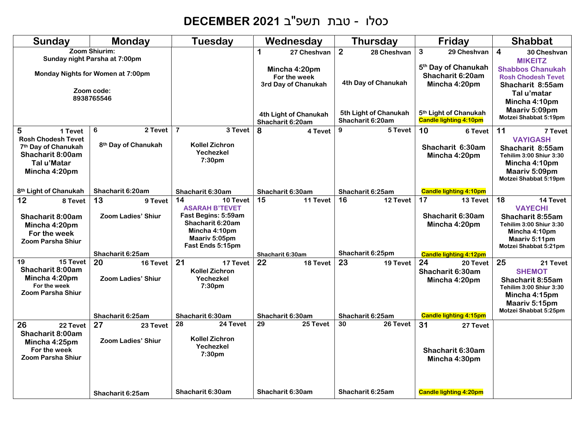# כסלו - טבת תשפ"ב **2021 DECEMBER**

| Sunday                                                                                                                           | <b>Monday</b>                                                                                                   | <b>Tuesday</b>                                                                                                                           | Wednesday                                                                | <b>Thursday</b>                                      | Friday                                                                                              | <b>Shabbat</b>                                                                                                                                                       |
|----------------------------------------------------------------------------------------------------------------------------------|-----------------------------------------------------------------------------------------------------------------|------------------------------------------------------------------------------------------------------------------------------------------|--------------------------------------------------------------------------|------------------------------------------------------|-----------------------------------------------------------------------------------------------------|----------------------------------------------------------------------------------------------------------------------------------------------------------------------|
|                                                                                                                                  | Zoom Shiurim:<br>Sunday night Parsha at 7:00pm<br>Monday Nights for Women at 7:00pm<br>Zoom code:<br>8938765546 |                                                                                                                                          | 1<br>27 Cheshvan<br>Mincha 4:20pm<br>For the week<br>3rd Day of Chanukah | $\overline{2}$<br>28 Cheshvan<br>4th Day of Chanukah | $\mathbf{3}$<br>29 Cheshvan<br>5 <sup>th</sup> Day of Chanukah<br>Shacharit 6:20am<br>Mincha 4:20pm | $\overline{\mathbf{4}}$<br>30 Cheshvan<br><b>MIKEITZ</b><br><b>Shabbos Chanukah</b><br><b>Rosh Chodesh Tevet</b><br>Shacharit 8:55am<br>Tal u'matar<br>Mincha 4:10pm |
|                                                                                                                                  |                                                                                                                 |                                                                                                                                          | 4th Light of Chanukah<br>Shacharit 6:20am                                | 5th Light of Chanukah<br>Shacharit 6:20am            | 5 <sup>th</sup> Light of Chanukah<br><b>Candle lighting 4:10pm</b>                                  | Maariv 5:09pm<br>Motzei Shabbat 5:19pm                                                                                                                               |
| 5<br>1 Tevet<br><b>Rosh Chodesh Tevet</b><br>7 <sup>th</sup> Day of Chanukah<br>Shacharit 8:00am<br>Tal u'Matar<br>Mincha 4:20pm | 2 Tevet<br>6<br>8 <sup>th</sup> Day of Chanukah                                                                 | $\overline{7}$<br>3 Tevet<br><b>Kollel Zichron</b><br>Yechezkel<br>7:30pm                                                                | 8<br>4 Tevet                                                             | 9<br>5 Tevet                                         | 10<br>6 Tevet<br>Shacharit 6:30am<br>Mincha 4:20pm                                                  | 11<br>7 Tevet<br><b>VAYIGASH</b><br>Shacharit 8:55am<br>Tehilim 3:00 Shiur 3:30<br>Mincha 4:10pm<br>Maariv 5:09pm<br>Motzei Shabbat 5:19pm                           |
| 8 <sup>th</sup> Light of Chanukah                                                                                                | Shacharit 6:20am                                                                                                | Shacharit 6:30am                                                                                                                         | Shacharit 6:30am                                                         | Shacharit 6:25am                                     | <b>Candle lighting 4:10pm</b>                                                                       |                                                                                                                                                                      |
| 12<br>8 Tevet<br><b>Shacharit 8:00am</b><br>Mincha 4:20pm<br>For the week<br><b>Zoom Parsha Shiur</b>                            | 13<br>9 Tevet<br><b>Zoom Ladies' Shiur</b>                                                                      | 14<br>10 Tevet<br><b>ASARAH B'TEVET</b><br>Fast Begins: 5:59am<br>Shacharit 6:20am<br>Mincha 4:10pm<br>Maariv 5:05pm<br>Fast Ends 5:15pm | 15<br>11 Tevet                                                           | 16<br>12 Tevet                                       | 17<br>13 Tevet<br>Shacharit 6:30am<br>Mincha 4:20pm                                                 | 18<br>14 Tevet<br><b>VAYECHI</b><br>Shacharit 8:55am<br>Tehilim 3:00 Shiur 3:30<br>Mincha 4:10pm<br>Maariv 5:11pm<br>Motzei Shabbat 5:21pm                           |
|                                                                                                                                  | Shacharit 6:25am                                                                                                |                                                                                                                                          | Shacharit 6:30am                                                         | Shacharit 6:25pm                                     | <b>Candle lighting 4:12pm</b>                                                                       |                                                                                                                                                                      |
| 15 Tevet<br>19<br>Shacharit 8:00am<br>Mincha 4:20pm<br>For the week<br><b>Zoom Parsha Shiur</b>                                  | 20<br>16 Tevet<br><b>Zoom Ladies' Shiur</b>                                                                     | 21<br>17 Tevet<br><b>Kollel Zichron</b><br>Yechezkel<br>7:30pm                                                                           | 22<br>18 Tevet                                                           | 23<br>19 Tevet                                       | 24<br>20 Tevet<br>Shacharit 6:30am<br>Mincha 4:20pm                                                 | 25<br>21 Tevet<br><b>SHEMOT</b><br>Shacharit 8:55am<br>Tehilim 3:00 Shiur 3:30<br>Mincha 4:15pm<br>Maariv 5:15pm<br>Motzei Shabbat 5:25pm                            |
|                                                                                                                                  | Shacharit 6:25am                                                                                                | Shacharit 6:30am<br>28<br>24 Tevet                                                                                                       | Shacharit 6:30am<br>$\overline{29}$<br>25 Tevet                          | Shacharit 6:25am<br>$\overline{30}$<br>26 Tevet      | <b>Candle lighting 4:15pm</b>                                                                       |                                                                                                                                                                      |
| 26<br>22 Tevet<br>Shacharit 8:00am<br>Mincha 4:25pm<br>For the week<br><b>Zoom Parsha Shiur</b>                                  | 27<br>23 Tevet<br><b>Zoom Ladies' Shiur</b>                                                                     | <b>Kollel Zichron</b><br>Yechezkel<br>7:30pm                                                                                             |                                                                          |                                                      | 31<br>27 Tevet<br>Shacharit 6:30am<br>Mincha 4:30pm                                                 |                                                                                                                                                                      |
|                                                                                                                                  | Shacharit 6:25am                                                                                                | Shacharit 6:30am                                                                                                                         | Shacharit 6:30am                                                         | Shacharit 6:25am                                     | <b>Candle lighting 4:20pm</b>                                                                       |                                                                                                                                                                      |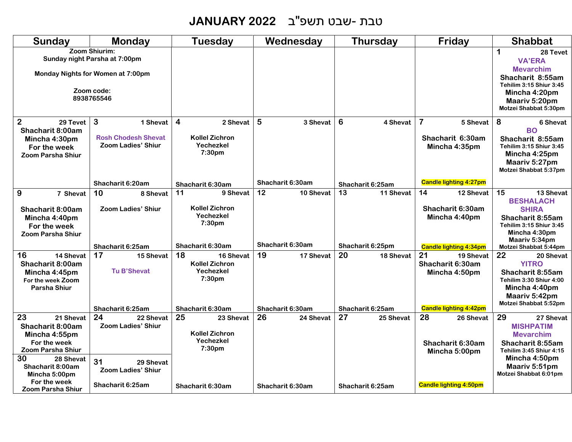#### טבת -שבט תשפ"ב **2022 JANUARY**

| Sunday                                                                                                                                                                   | Monday                                                                                                           | Tuesday                                                                             | Wednesday                           | Thursday                            | Friday                                                                                | <b>Shabbat</b>                                                                                                                                                    |
|--------------------------------------------------------------------------------------------------------------------------------------------------------------------------|------------------------------------------------------------------------------------------------------------------|-------------------------------------------------------------------------------------|-------------------------------------|-------------------------------------|---------------------------------------------------------------------------------------|-------------------------------------------------------------------------------------------------------------------------------------------------------------------|
|                                                                                                                                                                          | Zoom Shiurim:<br>Sunday night Parsha at 7:00pm<br>Monday Nights for Women at 7:00pm<br>Zoom code:<br>8938765546  |                                                                                     |                                     |                                     |                                                                                       | 1<br>28 Tevet<br><b>VA'ERA</b><br><b>Mevarchim</b><br>Shacharit 8:55am<br>Tehilim 3:15 Shiur 3:45<br>Mincha 4:20pm<br>Maariv 5:20pm<br>Motzei Shabbat 5:30pm      |
| $\overline{2}$<br>29 Tevet<br>Shacharit 8:00am<br>Mincha 4:30pm<br>For the week<br><b>Zoom Parsha Shiur</b>                                                              | 3<br>1 Shevat<br><b>Rosh Chodesh Shevat</b><br><b>Zoom Ladies' Shiur</b>                                         | $\overline{\mathbf{4}}$<br>2 Shevat<br><b>Kollel Zichron</b><br>Yechezkel<br>7:30pm | 5<br>3 Shevat                       | 6<br>4 Shevat                       | $\overline{7}$<br>5 Shevat<br>Shacharit 6:30am<br>Mincha 4:35pm                       | 8<br>6 Shevat<br><b>BO</b><br>Shacharit 8:55am<br>Tehilim 3:15 Shiur 3:45<br>Mincha 4:25pm<br>Maariv 5:27pm<br>Motzei Shabbat 5:37pm                              |
|                                                                                                                                                                          | Shacharit 6:20am                                                                                                 | Shacharit 6:30am                                                                    | Shacharit 6:30am                    | Shacharit 6:25am                    | <b>Candle lighting 4:27pm</b>                                                         |                                                                                                                                                                   |
| 9<br>7 Shevat<br>Shacharit 8:00am<br>Mincha 4:40pm<br>For the week<br><b>Zoom Parsha Shiur</b>                                                                           | 10<br>8 Shevat<br><b>Zoom Ladies' Shiur</b>                                                                      | 11<br>9 Shevat<br><b>Kollel Zichron</b><br>Yechezkel<br>7:30pm                      | 12<br>10 Shevat                     | 13<br>11 Shevat                     | 14<br>12 Shevat<br>Shacharit 6:30am<br>Mincha 4:40pm                                  | 15<br>13 Shevat<br><b>BESHALACH</b><br><b>SHIRA</b><br>Shacharit 8:55am<br>Tehilim 3:15 Shiur 3:45<br>Mincha 4:30pm                                               |
|                                                                                                                                                                          | Shacharit 6:25am                                                                                                 | Shacharit 6:30am                                                                    | Shacharit 6:30am                    | Shacharit 6:25pm                    | <b>Candle lighting 4:34pm</b>                                                         | Maariv 5:34pm<br>Motzei Shabbat 5:44pm                                                                                                                            |
| 16<br>14 Shevat<br>Shacharit 8:00am<br>Mincha 4:45pm<br>For the week Zoom<br>Parsha Shiur                                                                                | 17<br>15 Shevat<br><b>Tu B'Shevat</b><br>Shacharit 6:25am                                                        | 18<br>16 Shevat<br><b>Kollel Zichron</b><br>Yechezkel<br>7:30pm<br>Shacharit 6:30am | 19<br>17 Shevat<br>Shacharit 6:30am | 20<br>18 Shevat<br>Shacharit 6:25am | 21<br>19 Shevat<br>Shacharit 6:30am<br>Mincha 4:50pm<br><b>Candle lighting 4:42pm</b> | 22<br>20 Shevat<br><b>YITRO</b><br>Shacharit 8:55am<br>Tehilim 3:30 Shiur 4:00<br>Mincha 4:40pm<br>Maariv 5:42pm<br>Motzei Shabbat 5:52pm                         |
| 23<br>21 Shevat<br>Shacharit 8:00am<br>Mincha 4:55pm<br>For the week<br><b>Zoom Parsha Shiur</b><br>30<br>28 Shevat<br>Shacharit 8:00am<br>Mincha 5:00pm<br>For the week | 24<br>22 Shevat<br><b>Zoom Ladies' Shiur</b><br>31<br>29 Shevat<br><b>Zoom Ladies' Shiur</b><br>Shacharit 6:25am | 25<br>23 Shevat<br><b>Kollel Zichron</b><br>Yechezkel<br>7:30pm<br>Shacharit 6:30am | 26<br>24 Shevat<br>Shacharit 6:30am | 27<br>25 Shevat<br>Shacharit 6:25am | 28<br>26 Shevat<br>Shacharit 6:30am<br>Mincha 5:00pm<br><b>Candle lighting 4:50pm</b> | 29<br>27 Shevat<br><b>MISHPATIM</b><br><b>Mevarchim</b><br>Shacharit 8:55am<br>Tehilim 3:45 Shiur 4:15<br>Mincha 4:50pm<br>Maariv 5:51pm<br>Motzei Shabbat 6:01pm |
| <b>Zoom Parsha Shiur</b>                                                                                                                                                 |                                                                                                                  |                                                                                     |                                     |                                     |                                                                                       |                                                                                                                                                                   |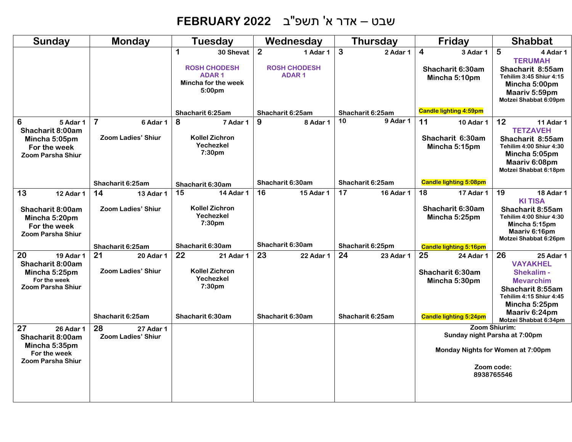# שבט – אדר א' תשפ"ב **2022 FEBRUARY**

| <b>Sunday</b>                                                                                                                                                                                               | <b>Monday</b>                                                                                                                               | <b>Tuesday</b>                                                                                                                                                                                | Wednesday                                                                                | <b>Thursday</b>                                                                   | Friday                                                                                                                                                                         | <b>Shabbat</b>                                                                                                                                                                                                                                                                                                               |
|-------------------------------------------------------------------------------------------------------------------------------------------------------------------------------------------------------------|---------------------------------------------------------------------------------------------------------------------------------------------|-----------------------------------------------------------------------------------------------------------------------------------------------------------------------------------------------|------------------------------------------------------------------------------------------|-----------------------------------------------------------------------------------|--------------------------------------------------------------------------------------------------------------------------------------------------------------------------------|------------------------------------------------------------------------------------------------------------------------------------------------------------------------------------------------------------------------------------------------------------------------------------------------------------------------------|
|                                                                                                                                                                                                             |                                                                                                                                             | 1<br>30 Shevat<br><b>ROSH CHODESH</b><br><b>ADAR1</b><br>Mincha for the week<br>5:00 <sub>pm</sub>                                                                                            | $\overline{2}$<br>1 Adar 1<br><b>ROSH CHODESH</b><br><b>ADAR1</b>                        | 3<br>2 Adar 1                                                                     | $\overline{4}$<br>3 Adar 1<br>Shacharit 6:30am<br>Mincha 5:10pm                                                                                                                | 5<br>4 Adar 1<br><b>TERUMAH</b><br>Shacharit 8:55am<br>Tehilim 3:45 Shiur 4:15<br>Mincha 5:00pm<br>Maariv 5:59pm<br>Motzei Shabbat 6:09pm                                                                                                                                                                                    |
|                                                                                                                                                                                                             |                                                                                                                                             | Shacharit 6:25am                                                                                                                                                                              | Shacharit 6:25am                                                                         | Shacharit 6:25am                                                                  | <b>Candle lighting 4:59pm</b>                                                                                                                                                  |                                                                                                                                                                                                                                                                                                                              |
| 6<br>5 Adar 1<br>Shacharit 8:00am<br>Mincha 5:05pm<br>For the week<br><b>Zoom Parsha Shiur</b>                                                                                                              | $\overline{7}$<br>6 Adar 1<br><b>Zoom Ladies' Shiur</b>                                                                                     | 8<br>7 Adar 1<br><b>Kollel Zichron</b><br>Yechezkel<br>7:30pm                                                                                                                                 | 9<br>8 Adar 1                                                                            | 10<br>9 Adar 1                                                                    | 11<br>10 Adar 1<br>Shacharit 6:30am<br>Mincha 5:15pm                                                                                                                           | 12 <sub>2</sub><br>11 Adar 1<br><b>TETZAVEH</b><br>Shacharit 8:55am<br>Tehilim 4:00 Shiur 4:30<br>Mincha 5:05pm<br>Maariv 6:08pm<br>Motzei Shabbat 6:18pm                                                                                                                                                                    |
|                                                                                                                                                                                                             | Shacharit 6:25am                                                                                                                            | Shacharit 6:30am                                                                                                                                                                              | Shacharit 6:30am                                                                         | Shacharit 6:25am                                                                  | <b>Candle lighting 5:08pm</b>                                                                                                                                                  |                                                                                                                                                                                                                                                                                                                              |
| 13<br>12 Adar 1<br>Shacharit 8:00am<br>Mincha 5:20pm<br>For the week<br><b>Zoom Parsha Shiur</b><br>20<br><b>19 Adar 1</b><br>Shacharit 8:00am<br>Mincha 5:25pm<br>For the week<br><b>Zoom Parsha Shiur</b> | 14<br>13 Adar 1<br><b>Zoom Ladies' Shiur</b><br>Shacharit 6:25am<br>21<br><b>20 Adar 1</b><br><b>Zoom Ladies' Shiur</b><br>Shacharit 6:25am | 15<br><b>14 Adar 1</b><br><b>Kollel Zichron</b><br>Yechezkel<br>7:30pm<br>Shacharit 6:30am<br>22<br>21 Adar 1<br><b>Kollel Zichron</b><br>Yechezkel<br>7:30 <sub>pm</sub><br>Shacharit 6:30am | 16<br><b>15 Adar 1</b><br>Shacharit 6:30am<br>23<br><b>22 Adar 1</b><br>Shacharit 6:30am | 17<br><b>16 Adar 1</b><br>Shacharit 6:25pm<br>24<br>23 Adar 1<br>Shacharit 6:25am | 18<br>17 Adar 1<br>Shacharit 6:30am<br>Mincha 5:25pm<br><b>Candle lighting 5:16pm</b><br>25<br>24 Adar 1<br>Shacharit 6:30am<br>Mincha 5:30pm<br><b>Candle lighting 5:24pm</b> | 19<br>18 Adar 1<br><b>KITISA</b><br>Shacharit 8:55am<br>Tehilim 4:00 Shiur 4:30<br>Mincha 5:15pm<br>Maariv 6:16pm<br>Motzei Shabbat 6:26pm<br>26<br>25 Adar 1<br><b>VAYAKHEL</b><br>Shekalim -<br><b>Mevarchim</b><br>Shacharit 8:55am<br>Tehilim 4:15 Shiur 4:45<br>Mincha 5:25pm<br>Maariv 6:24pm<br>Motzei Shabbat 6:34pm |
| 27<br>26 Adar 1<br>Shacharit 8:00am<br>Mincha 5:35pm<br>For the week<br><b>Zoom Parsha Shiur</b>                                                                                                            | 28<br>27 Adar 1<br><b>Zoom Ladies' Shiur</b>                                                                                                |                                                                                                                                                                                               |                                                                                          |                                                                                   |                                                                                                                                                                                | Zoom Shiurim:<br>Sunday night Parsha at 7:00pm<br>Monday Nights for Women at 7:00pm<br>Zoom code:<br>8938765546                                                                                                                                                                                                              |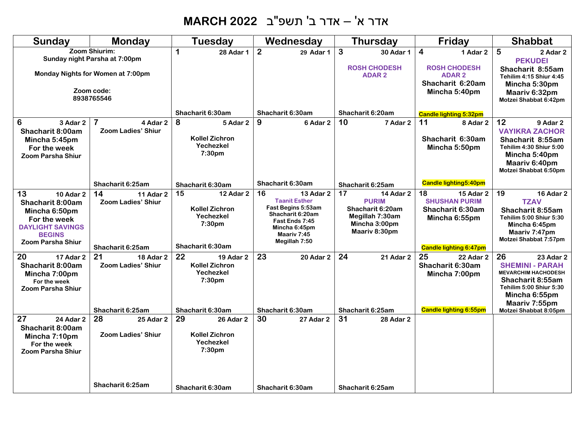# אדר א' – אדר ב' תשפ"ב **2022 MARCH**

| <b>Sunday</b>                                                                                                                                | <b>Monday</b>                                                                                                   | <b>Tuesday</b>                                                                                         | Wednesday                                                                                                                                                   | <b>Thursday</b>                                                                                                 | Friday                                                                                                               | <b>Shabbat</b>                                                                                                                                                                    |
|----------------------------------------------------------------------------------------------------------------------------------------------|-----------------------------------------------------------------------------------------------------------------|--------------------------------------------------------------------------------------------------------|-------------------------------------------------------------------------------------------------------------------------------------------------------------|-----------------------------------------------------------------------------------------------------------------|----------------------------------------------------------------------------------------------------------------------|-----------------------------------------------------------------------------------------------------------------------------------------------------------------------------------|
|                                                                                                                                              | Zoom Shiurim:<br>Sunday night Parsha at 7:00pm<br>Monday Nights for Women at 7:00pm<br>Zoom code:<br>8938765546 | 1<br><b>28 Adar 1</b>                                                                                  | $\overline{2}$<br>29 Adar 1                                                                                                                                 | 3<br>30 Adar 1<br><b>ROSH CHODESH</b><br><b>ADAR2</b>                                                           | 4<br>1 Adar 2<br><b>ROSH CHODESH</b><br><b>ADAR2</b><br>Shacharit 6:20am<br>Mincha 5:40pm                            | 5<br>2 Adar 2<br><b>PEKUDEI</b><br>Shacharit 8:55am<br>Tehilim 4:15 Shiur 4:45<br>Mincha 5:30pm<br>Maariv 6:32pm<br>Motzei Shabbat 6:42pm                                         |
|                                                                                                                                              |                                                                                                                 | Shacharit 6:30am                                                                                       | Shacharit 6:30am                                                                                                                                            | Shacharit 6:20am                                                                                                | <b>Candle lighting 5:32pm</b>                                                                                        |                                                                                                                                                                                   |
| 6<br>3 Adar 2<br>Shacharit 8:00am<br>Mincha 5:45pm<br>For the week<br><b>Zoom Parsha Shiur</b>                                               | $\overline{7}$<br>4 Adar 2<br><b>Zoom Ladies' Shiur</b>                                                         | 8<br>5 Adar 2<br><b>Kollel Zichron</b><br>Yechezkel<br>7:30pm                                          | 9<br>6 Adar 2                                                                                                                                               | 10<br>7 Adar 2                                                                                                  | 11<br>8 Adar 2<br>Shacharit 6:30am<br>Mincha 5:50pm                                                                  | 12<br>9 Adar 2<br><b>VAYIKRA ZACHOR</b><br>Shacharit 8:55am<br>Tehilim 4:30 Shiur 5:00<br>Mincha 5:40pm<br>Maariv 6:40pm<br>Motzei Shabbat 6:50pm                                 |
|                                                                                                                                              | Shacharit 6:25am                                                                                                | Shacharit 6:30am                                                                                       | Shacharit 6:30am                                                                                                                                            | Shacharit 6:25am                                                                                                | <b>Candle lighting5:40pm</b>                                                                                         |                                                                                                                                                                                   |
| 13<br><b>10 Adar 2</b><br>Shacharit 8:00am<br>Mincha 6:50pm<br>For the week<br><b>DAYLIGHT SAVINGS</b><br><b>BEGINS</b><br>Zoom Parsha Shiur | 14<br>11 Adar 2<br><b>Zoom Ladies' Shiur</b><br>Shacharit 6:25am                                                | 15<br>12 Adar 2<br><b>Kollel Zichron</b><br>Yechezkel<br>7:30pm<br>Shacharit 6:30am                    | 16<br><b>13 Adar 2</b><br><b>Taanit Esther</b><br>Fast Begins 5:53am<br>Shacharit 6:20am<br>Fast Ends 7:45<br>Mincha 6:45pm<br>Maariv 7:45<br>Megillah 7:50 | 17<br><b>14 Adar 2</b><br><b>PURIM</b><br>Shacharit 6:20am<br>Megillah 7:30am<br>Mincha 3:00pm<br>Maariv 8:30pm | 18<br><b>15 Adar 2</b><br><b>SHUSHAN PURIM</b><br>Shacharit 6:30am<br>Mincha 6:55pm<br><b>Candle lighting 6:47pm</b> | 19<br><b>16 Adar 2</b><br><b>TZAV</b><br>Shacharit 8:55am<br>Tehilim 5:00 Shiur 5:30<br>Mincha 6:45pm<br>Maariv 7:47pm<br>Motzei Shabbat 7:57pm                                   |
| 20<br>17 Adar 2<br><b>Shacharit 8:00am</b><br>Mincha 7:00pm<br>For the week<br><b>Zoom Parsha Shiur</b>                                      | 21<br><b>18 Adar 2</b><br><b>Zoom Ladies' Shiur</b><br>Shacharit 6:25am                                         | 22<br><b>19 Adar 2</b><br><b>Kollel Zichron</b><br>Yechezkel<br>7:30 <sub>pm</sub><br>Shacharit 6:30am | 23<br>20 Adar 2<br>Shacharit 6:30am                                                                                                                         | 24<br>21 Adar 2<br>Shacharit 6:25am                                                                             | 25<br>22 Adar 2<br>Shacharit 6:30am<br>Mincha 7:00pm<br><b>Candle lighting 6:55pm</b>                                | 26<br>23 Adar 2<br><b>SHEMINI - PARAH</b><br><b>MEVARCHIM HACHODESH</b><br>Shacharit 8:55am<br>Tehilim 5:00 Shiur 5:30<br>Mincha 6:55pm<br>Maariv 7:55pm<br>Motzei Shabbat 8:05pm |
| 27<br><b>24 Adar 2</b><br>Shacharit 8:00am<br>Mincha 7:10pm<br>For the week<br><b>Zoom Parsha Shiur</b>                                      | 28<br>25 Adar 2<br><b>Zoom Ladies' Shiur</b>                                                                    | 29<br>26 Adar 2<br><b>Kollel Zichron</b><br>Yechezkel<br>7:30pm                                        | 30<br>27 Adar 2                                                                                                                                             | 31<br><b>28 Adar 2</b>                                                                                          |                                                                                                                      |                                                                                                                                                                                   |
|                                                                                                                                              | Shacharit 6:25am                                                                                                | Shacharit 6:30am                                                                                       | Shacharit 6:30am                                                                                                                                            | Shacharit 6:25am                                                                                                |                                                                                                                      |                                                                                                                                                                                   |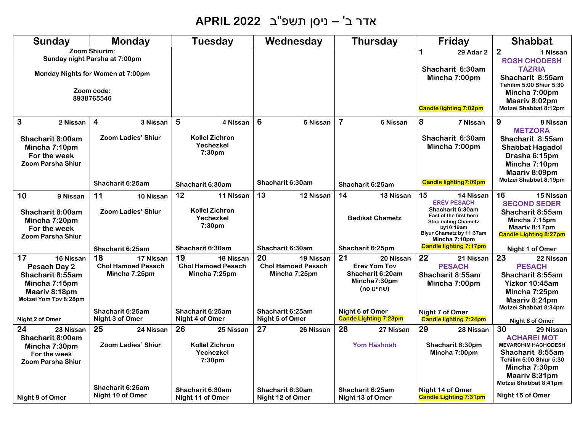# אדר ב' – ניסן תשפ"ב **2022 APRIL**

| <b>Sunday</b>                                                                                                  | <b>Monday</b>                                                                                                          | <b>Tuesday</b>                                                              | Wednesday                                                     | <b>Thursday</b>                                                                           | Friday                                                                                                                                                                      | <b>Shabbat</b>                                                                                                                                                                |
|----------------------------------------------------------------------------------------------------------------|------------------------------------------------------------------------------------------------------------------------|-----------------------------------------------------------------------------|---------------------------------------------------------------|-------------------------------------------------------------------------------------------|-----------------------------------------------------------------------------------------------------------------------------------------------------------------------------|-------------------------------------------------------------------------------------------------------------------------------------------------------------------------------|
|                                                                                                                | Zoom Shiurim:<br>Sunday night Parsha at 7:00pm<br><b>Monday Nights for Women at 7:00pm</b><br>Zoom code:<br>8938765546 |                                                                             |                                                               |                                                                                           | $\mathbf 1$<br><b>29 Adar 2</b><br>Shacharit 6:30am<br>Mincha 7:00pm<br><b>Candle lighting 7:02pm</b>                                                                       | $\overline{2}$<br>1 Nissan<br><b>ROSH CHODESH</b><br><b>TAZRIA</b><br>Shacharit 8:55am<br>Tehilim 5:00 Shiur 5:30<br>Mincha 7:00pm<br>Maariy 8:02pm<br>Motzei Shabbat 8:12pm  |
| 3<br>2 Nissan<br>Shacharit 8:00am<br>Mincha 7:10pm<br>For the week<br><b>Zoom Parsha Shiur</b>                 | $\overline{\mathbf{4}}$<br>3 Nissan<br><b>Zoom Ladies' Shiur</b>                                                       | 5<br>4 Nissan<br><b>Kollel Zichron</b><br>Yechezkel<br>7:30 <sub>pm</sub>   | 6<br>5 Nissan                                                 | $\overline{7}$<br>6 Nissan                                                                | 8<br>7 Nissan<br>Shacharit 6:30am<br>Mincha 7:00pm                                                                                                                          | 9<br>8 Nissan<br><b>METZORA</b><br>Shacharit 8:55am<br><b>Shabbat Hagadol</b><br>Drasha 6:15pm<br>Mincha 7:10pm<br>Maariv 8:09pm<br>Motzei Shabbat 8:19pm                     |
|                                                                                                                | Shacharit 6:25am                                                                                                       | Shacharit 6:30am                                                            | Shacharit 6:30am                                              | Shacharit 6:25am                                                                          | <b>Candle lighting7:09pm</b>                                                                                                                                                |                                                                                                                                                                               |
| 10<br>9 Nissan<br>Shacharit 8:00am<br>Mincha 7:20pm<br>For the week<br><b>Zoom Parsha Shiur</b>                | 11<br>10 Nissan<br><b>Zoom Ladies' Shiur</b>                                                                           | 12<br>11 Nissan<br><b>Kollel Zichron</b><br>Yechezkel<br>7:30pm             | 13<br>12 Nissan                                               | 14<br>13 Nissan<br><b>Bedikat Chametz</b>                                                 | 15<br>14 Nissan<br><b>EREV PESACH</b><br>Shacharit 6:30am<br>Fast of the first born<br><b>Stop eating Chametz</b><br>bv10:19am<br>Biyur Chametz by 11:37am<br>Mincha 7:10pm | 16<br>15 Nissan<br><b>SECOND SEDER</b><br>Shacharit 8:55am<br>Mincha 7:15pm<br>Maariv 8:17pm<br><b>Candle Lighting 8:27pm</b>                                                 |
|                                                                                                                | Shacharit 6:25am                                                                                                       | Shacharit 6:30am                                                            | Shacharit 6:30am                                              | Shacharit 6:25pm                                                                          | <b>Candle lighting 7:17pm</b>                                                                                                                                               | Night 1 of Omer                                                                                                                                                               |
| 17<br>16 Nissan<br>Pesach Day 2<br>Shacharit 8:55am<br>Mincha 7:15pm<br>Maariv 8:18pm<br>Motzei Yom Tov 8:28pm | 18<br>17 Nissan<br><b>Chol Hamoed Pesach</b><br>Mincha 7:25pm                                                          | 19<br>18 Nissan<br><b>Chol Hamoed Pesach</b><br>Mincha 7:25pm               | 20<br>19 Nissan<br><b>Chol Hamoed Pesach</b><br>Mincha 7:25pm | 21<br>20 Nissan<br><b>Erev Yom Tov</b><br>Shacharit 6:20am<br>Mincha7:30pm<br>(שחיינו no) | 22<br>21 Nissan<br><b>PESACH</b><br>Shacharit 8:55am<br>Mincha 7:00pm                                                                                                       | 23<br>22 Nissan<br><b>PESACH</b><br>Shacharit 8:55am<br>Yizkor 10:45am<br>Mincha 7:25pm<br>Maariv 8:24pm                                                                      |
| Night 2 of Omer                                                                                                | Shacharit 6:25am<br>Night 3 of Omer                                                                                    | Shacharit 6:25am<br>Night 4 of Omer                                         | Shacharit 6:25am<br>Night 5 of Omer                           | Night 6 of Omer<br><b>Cande Lighting 7:23pm</b>                                           | Night 7 of Omer<br><b>Candle lighting 7:24pm</b>                                                                                                                            | Motzei Shabbat 8:34pm<br>Night 8 of Omer                                                                                                                                      |
| 24<br>23 Nissan<br>Shacharit 8:00am<br>Mincha 7:30pm<br>For the week<br><b>Zoom Parsha Shiur</b>               | 25<br>24 Nissan<br><b>Zoom Ladies' Shiur</b>                                                                           | 26<br>25 Nissan<br><b>Kollel Zichron</b><br>Yechezkel<br>7:30 <sub>pm</sub> | 27<br>26 Nissan                                               | 28<br>27 Nissan<br><b>Yom Hashoah</b>                                                     | 29<br>28 Nissan<br>Shacharit 6:30pm<br>Mincha 7:00pm                                                                                                                        | 30<br>29 Nissan<br><b>ACHAREI MOT</b><br><b>MEVARCHIM HACHODESH</b><br>Shacharit 8:55am<br>Tehilim 5:00 Shiur 5:30<br>Mincha 7:30pm<br>Maariv 8:31pm<br>Motzei Shabbat 8:41pm |
| Night 9 of Omer                                                                                                | Shacharit 6:25am<br>Night 10 of Omer                                                                                   | Shacharit 6:30am<br>Night 11 of Omer                                        | Shacharit 6:30am<br>Night 12 of Omer                          | Shacharit 6:25am<br>Night 13 of Omer                                                      | Night 14 of Omer<br><b>Candle Lighting 7:31pm</b>                                                                                                                           | Night 15 of Omer                                                                                                                                                              |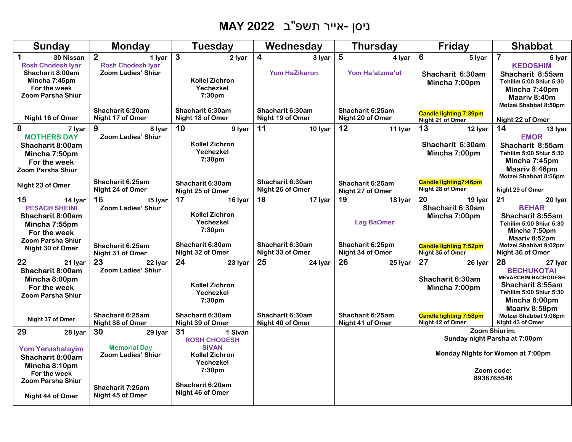# ניסן - אייר תשפ"ב **2022 MAY**

| <b>Sunday</b>                                                                                                                              | <b>Monday</b>                                                                      | <b>Tuesday</b>                                                                                                              | Wednesday                                                 | <b>Thursday</b>                                                            | Friday                                                                                                  | <b>Shabbat</b>                                                                                                                                                             |
|--------------------------------------------------------------------------------------------------------------------------------------------|------------------------------------------------------------------------------------|-----------------------------------------------------------------------------------------------------------------------------|-----------------------------------------------------------|----------------------------------------------------------------------------|---------------------------------------------------------------------------------------------------------|----------------------------------------------------------------------------------------------------------------------------------------------------------------------------|
| $\mathbf 1$<br>30 Nissan<br><b>Rosh Chodesh Iyar</b><br>Shacharit 8:00am<br>Mincha 7:45pm<br>For the week<br><b>Zoom Parsha Shiur</b>      | $\overline{2}$<br>1 Iyar<br><b>Rosh Chodesh Iyar</b><br>Zoom Ladies' Shiur         | $\mathbf{3}$<br>2 Iyar<br><b>Kollel Zichron</b><br>Yechezkel<br>7:30pm                                                      | $\overline{\mathbf{4}}$<br>3 Iyar<br><b>Yom HaZikaron</b> | 5<br>4 Iyar<br>Yom Ha'atzma'ut                                             | 6<br>5 lyar<br>Shacharit 6:30am<br>Mincha 7:00pm                                                        | $\overline{7}$<br>6 Iyar<br><b>KEDOSHIM</b><br>Shacharit 8:55am<br>Tehilim 5:00 Shiur 5:30<br>Mincha 7:40pm<br>Maariy 8:40m<br>Motzei Shabbat 8:50pm                       |
| Night 16 of Omer                                                                                                                           | Shacharit 6:20am<br>Night 17 of Omer                                               | Shacharit 6:30am<br>Night 18 of Omer                                                                                        | Shacharit 6:30am<br>Night 19 of Omer                      | Shacharit 6:25am<br>Night 20 of Omer                                       | <b>Candle lighting 7:39pm</b><br>Night 21 of Omer                                                       | Night 22 of Omer                                                                                                                                                           |
| 8<br>7 Iyar<br><b>MOTHERS DAY</b><br>Shacharit 8:00am<br>Mincha 7:50pm<br>For the week<br><b>Zoom Parsha Shiur</b>                         | 9<br>8 Ivar<br><b>Zoom Ladies' Shiur</b>                                           | 10<br>9 lyar<br>Kollel Zichron<br>Yechezkel<br>7:30 <sub>pm</sub>                                                           | 11<br>10 Iyar                                             | 12<br>11 Iyar                                                              | 13<br>12 Iyar<br>Shacharit 6:30am<br>Mincha 7:00pm                                                      | 14<br>13 Iyar<br><b>EMOR</b><br>Shacharit 8:55am<br>Tehilim 5:00 Shiur 5:30<br>Mincha 7:45pm<br>Maariv 8:46pm                                                              |
| Night 23 of Omer                                                                                                                           | Shacharit 6:25am<br>Night 24 of Omer                                               | Shacharit 6:30am<br>Night 25 of Omer                                                                                        | Shacharit 6:30am<br>Night 26 of Omer                      | Shacharit 6:25am<br>Night 27 of Omer                                       | <b>Candle lighting7:46pm</b><br>Night 28 of Omer                                                        | Motzei Shabbat 8:56pm<br>Night 29 of Omer                                                                                                                                  |
| 15<br>14 Iyar<br><b>PESACH SHEINI</b><br>Shacharit 8:00am<br>Mincha 7:55pm<br>For the week<br><b>Zoom Parsha Shiur</b><br>Night 30 of Omer | 16<br>15 Iyar<br><b>Zoom Ladies' Shiur</b><br>Shacharit 6:25am<br>Night 31 of Omer | 17<br>16 lyar<br>Kollel Zichron<br>Yechezkel<br>7:30pm<br>Shacharit 6:30am<br>Night 32 of Omer                              | 18<br>17 Iyar<br>Shacharit 6:30am<br>Night 33 of Omer     | 19<br>18 Iyar<br><b>Lag BaOmer</b><br>Shacharit 6:25pm<br>Night 34 of Omer | 20<br>19 Iyar<br>Shacharit 6:30am<br>Mincha 7:00pm<br><b>Candle lighting 7:52pm</b><br>Night 35 of Omer | 21<br>20 Iyar<br><b>BEHAR</b><br>Shacharit 8:55am<br>Tehilim 5:00 Shiur 5:30<br>Mincha 7:50pm<br>Maariv 8:52pm<br>Motzei Shabbat 9:02pm<br>Night 36 of Omer                |
| 22<br>21 Iyar<br>Shacharit 8:00am<br>Mincha 8:00pm<br>For the week<br><b>Zoom Parsha Shiur</b><br>Night 37 of Omer                         | 23<br>22 Iyar<br><b>Zoom Ladies' Shiur</b><br>Shacharit 6:25am                     | 24<br>23 Iyar<br>Kollel Zichron<br>Yechezkel<br>7:30 <sub>pm</sub><br>Shacharit 6:30am                                      | 25<br>24 Iyar<br>Shacharit 6:30am                         | 26<br>25 lyar<br>Shacharit 6:25am                                          | 27<br>26 lyar<br>Shacharit 6:30am<br>Mincha 7:00pm<br><b>Candle lighting 7:58pm</b>                     | 28<br>27 Iyar<br><b>BECHUKOTAI</b><br><b>MEVARCHIM HACHODESH</b><br>Shacharit 8:55am<br>Tehilim 5:00 Shiur 5:30<br>Mincha 8:00pm<br>Maariv 8:58pm<br>Motzei Shabbat 9:08pm |
| 29<br>28 Iyar                                                                                                                              | Night 38 of Omer<br>30<br>29 Iyar                                                  | Night 39 of Omer<br>31<br>1 Sivan                                                                                           | Night 40 of Omer                                          | Night 41 of Omer                                                           | Night 42 of Omer                                                                                        | Night 43 of Omer<br>Zoom Shiurim:                                                                                                                                          |
| <b>Yom Yerushalayim</b><br>Shacharit 8:00am<br>Mincha 8:10pm<br>For the week<br><b>Zoom Parsha Shiur</b><br>Night 44 of Omer               | <b>Memorial Day</b><br>Zoom Ladies' Shiur<br>Shacharit 7:25am<br>Night 45 of Omer  | <b>ROSH CHODESH</b><br><b>SIVAN</b><br><b>Kollel Zichron</b><br>Yechezkel<br>7:30pm<br>Shacharit 6:20am<br>Night 46 of Omer |                                                           |                                                                            |                                                                                                         | Sunday night Parsha at 7:00pm<br>Monday Nights for Women at 7:00pm<br>Zoom code:<br>8938765546                                                                             |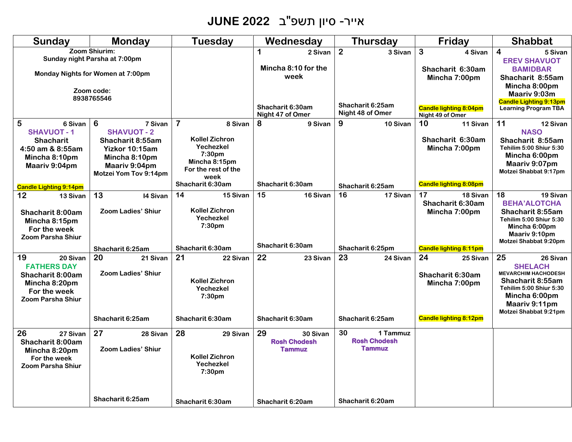# אייר - סיון תשפ"ב **2022 JUNE**

| <b>Sunday</b>                                                                                                         | <b>Monday</b>                                                                                                                                     | <b>Tuesday</b>                                                                                                                                 | Wednesday                                              | <b>Thursday</b>                                        | Friday                                                                               | <b>Shabbat</b>                                                                                                                                                           |
|-----------------------------------------------------------------------------------------------------------------------|---------------------------------------------------------------------------------------------------------------------------------------------------|------------------------------------------------------------------------------------------------------------------------------------------------|--------------------------------------------------------|--------------------------------------------------------|--------------------------------------------------------------------------------------|--------------------------------------------------------------------------------------------------------------------------------------------------------------------------|
|                                                                                                                       | Zoom Shiurim:<br>Sunday night Parsha at 7:00pm<br>Monday Nights for Women at 7:00pm                                                               |                                                                                                                                                | 1<br>2 Sivan<br>Mincha 8:10 for the<br>week            | $\overline{2}$<br>3 Sivan                              | 3<br>4 Sivan<br>Shacharit 6:30am<br>Mincha 7:00pm                                    | $\overline{\mathbf{4}}$<br>5 Sivan<br><b>EREV SHAVUOT</b><br><b>BAMIDBAR</b><br>Shacharit 8:55am                                                                         |
|                                                                                                                       | Zoom code:<br>8938765546                                                                                                                          |                                                                                                                                                | Shacharit 6:30am<br>Night 47 of Omer                   | Shacharit 6:25am<br>Night 48 of Omer                   | <b>Candle lighting 8:04pm</b><br>Night 49 of Omer                                    | Mincha 8:00pm<br>Maariv 9:03m<br><b>Candle Lighting 9:13pm</b><br><b>Learning Program TBA</b>                                                                            |
| 5<br>6 Sivan<br><b>SHAVUOT-1</b><br><b>Shacharit</b><br>4:50 am & 8:55am<br>Mincha 8:10pm<br>Maariv 9:04pm            | $6\phantom{1}6$<br>7 Sivan<br><b>SHAVUOT - 2</b><br>Shacharit 8:55am<br>Yizkor 10:15am<br>Mincha 8:10pm<br>Maariv 9:04pm<br>Motzei Yom Tov 9:14pm | $\overline{\mathbf{7}}$<br>8 Sivan<br><b>Kollel Zichron</b><br>Yechezkel<br>7:30 <sub>pm</sub><br>Mincha 8:15pm<br>For the rest of the<br>week | 8<br>9 Sivan                                           | 9<br>10 Sivan                                          | 10<br>11 Sivan<br>Shacharit 6:30am<br>Mincha 7:00pm                                  | 11<br>12 Sivan<br><b>NASO</b><br>Shacharit 8:55am<br>Tehilim 5:00 Shiur 5:30<br>Mincha 6:00pm<br>Maariv 9:07pm<br>Motzei Shabbat 9:17pm                                  |
| <b>Candle Lighting 9:14pm</b>                                                                                         |                                                                                                                                                   | Shacharit 6:30am                                                                                                                               | Shacharit 6:30am                                       | Shacharit 6:25am                                       | <b>Candle lighting 8:08pm</b>                                                        |                                                                                                                                                                          |
| 12<br>13 Sivan<br>Shacharit 8:00am<br>Mincha 8:15pm<br>For the week<br><b>Zoom Parsha Shiur</b>                       | 13<br>14 Sivan<br><b>Zoom Ladies' Shiur</b>                                                                                                       | 14<br>15 Sivan<br>Kollel Zichron<br>Yechezkel<br>7:30pm                                                                                        | 15<br>16 Sivan                                         | 16<br>17 Sivan                                         | 17<br>18 Sivan<br>Shacharit 6:30am<br>Mincha 7:00pm                                  | 18<br>19 Sivan<br><b>BEHA'ALOTCHA</b><br>Shacharit 8:55am<br>Tehilim 5:00 Shiur 5:30<br>Mincha 6:00pm<br>Maariv 9:10pm<br>Motzei Shabbat 9:20pm                          |
|                                                                                                                       | Shacharit 6:25am                                                                                                                                  | Shacharit 6:30am                                                                                                                               | Shacharit 6:30am                                       | Shacharit 6:25pm                                       | <b>Candle lighting 8:11pm</b>                                                        |                                                                                                                                                                          |
| 19<br>20 Sivan<br><b>FATHERS DAY</b><br>Shacharit 8:00am<br>Mincha 8:20pm<br>For the week<br><b>Zoom Parsha Shiur</b> | 20<br>21 Sivan<br><b>Zoom Ladies' Shiur</b><br>Shacharit 6:25am                                                                                   | 21<br>22 Sivan<br><b>Kollel Zichron</b><br>Yechezkel<br>7:30 <sub>pm</sub><br>Shacharit 6:30am                                                 | 22<br>23 Sivan<br>Shacharit 6:30am                     | 23<br>24 Sivan<br>Shacharit 6:25am                     | 24<br>25 Sivan<br>Shacharit 6:30am<br>Mincha 7:00pm<br><b>Candle lighting 8:12pm</b> | 25<br>26 Sivan<br><b>SHELACH</b><br><b>MEVARCHIM HACHODESH</b><br>Shacharit 8:55am<br>Tehilim 5:00 Shiur 5:30<br>Mincha 6:00pm<br>Maariv 9:11pm<br>Motzei Shabbat 9:21pm |
| 26<br>27 Sivan<br>Shacharit 8:00am<br>Mincha 8:20pm<br>For the week<br><b>Zoom Parsha Shiur</b>                       | 27<br>28 Sivan<br><b>Zoom Ladies' Shiur</b>                                                                                                       | 28<br>29 Sivan<br><b>Kollel Zichron</b><br>Yechezkel<br>7:30pm                                                                                 | 29<br>30 Sivan<br><b>Rosh Chodesh</b><br><b>Tammuz</b> | 30<br>1 Tammuz<br><b>Rosh Chodesh</b><br><b>Tammuz</b> |                                                                                      |                                                                                                                                                                          |
|                                                                                                                       | Shacharit 6:25am                                                                                                                                  | Shacharit 6:30am                                                                                                                               | Shacharit 6:20am                                       | Shacharit 6:20am                                       |                                                                                      |                                                                                                                                                                          |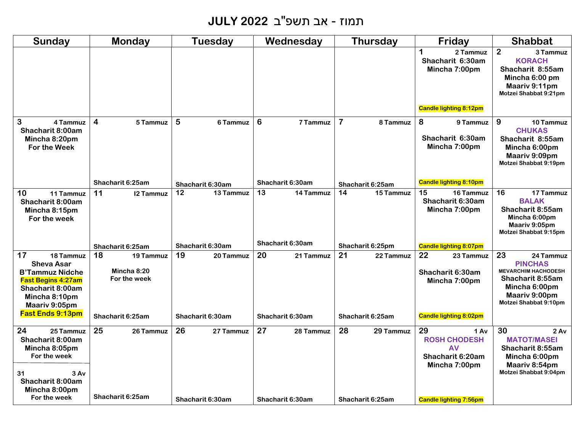## תמוז - אב תשפ"ב **2022 JULY**

| <b>Sunday</b>                                                                                                                                     | Monday                                         | Tuesday          | Wednesday              | <b>Thursday</b>            | Friday                                                                       | <b>Shabbat</b>                                                                                                                                 |
|---------------------------------------------------------------------------------------------------------------------------------------------------|------------------------------------------------|------------------|------------------------|----------------------------|------------------------------------------------------------------------------|------------------------------------------------------------------------------------------------------------------------------------------------|
|                                                                                                                                                   |                                                |                  |                        |                            | $\mathbf 1$<br>2 Tammuz<br>Shacharit 6:30am<br>Mincha 7:00pm                 | 2 <sup>1</sup><br>3 Tammuz<br><b>KORACH</b><br>Shacharit 8:55am<br>Mincha 6:00 pm<br>Maariv 9:11pm<br>Motzei Shabbat 9:21pm                    |
|                                                                                                                                                   |                                                |                  |                        |                            | <b>Candle lighting 8:12pm</b>                                                |                                                                                                                                                |
| 3<br>4 Tammuz<br>Shacharit 8:00am<br>Mincha 8:20pm<br><b>For the Week</b>                                                                         | $\overline{\mathbf{4}}$<br>5 Tammuz            | 5<br>6 Tammuz    | 6<br>7 Tammuz          | $\overline{7}$<br>8 Tammuz | 8<br>9 Tammuz<br>Shacharit 6:30am<br>Mincha 7:00pm                           | 9<br>10 Tammuz<br><b>CHUKAS</b><br>Shacharit 8:55am<br>Mincha 6:00pm<br>Maariv 9:09pm<br>Motzei Shabbat 9:19pm                                 |
|                                                                                                                                                   | Shacharit 6:25am                               | Shacharit 6:30am | Shacharit 6:30am       | Shacharit 6:25am           | <b>Candle lighting 8:10pm</b>                                                |                                                                                                                                                |
| 10<br>11 Tammuz<br>Shacharit 8:00am<br>Mincha 8:15pm<br>For the week                                                                              | 11<br><b>12 Tammuz</b>                         | 12<br>13 Tammuz  | 13<br><b>14 Tammuz</b> | 14<br>15 Tammuz            | 15<br>16 Tammuz<br>Shacharit 6:30am<br>Mincha 7:00pm                         | 16<br>17 Tammuz<br><b>BALAK</b><br>Shacharit 8:55am<br>Mincha 6:00pm<br>Maariv 9:05pm<br>Motzei Shabbat 9:15pm                                 |
|                                                                                                                                                   | Shacharit 6:25am                               | Shacharit 6:30am | Shacharit 6:30am       | Shacharit 6:25pm           | <b>Candle lighting 8:07pm</b>                                                |                                                                                                                                                |
| 17<br>18 Tammuz<br><b>Sheva Asar</b><br><b>B'Tammuz Nidche</b><br><b>Fast Begins 4:27am</b><br>Shacharit 8:00am<br>Mincha 8:10pm<br>Maariv 9:05pm | 18<br>19 Tammuz<br>Mincha 8:20<br>For the week | 19<br>20 Tammuz  | 20<br>21 Tammuz        | 21<br>22 Tammuz            | 22<br>23 Tammuz<br>Shacharit 6:30am<br>Mincha 7:00pm                         | 23<br>24 Tammuz<br><b>PINCHAS</b><br><b>MEVARCHIM HACHODESH</b><br>Shacharit 8:55am<br>Mincha 6:00pm<br>Maariv 9:00pm<br>Motzei Shabbat 9:10pm |
| <b>Fast Ends 9:13pm</b>                                                                                                                           | Shacharit 6:25am                               | Shacharit 6:30am | Shacharit 6:30am       | Shacharit 6:25am           | <b>Candle lighting 8:02pm</b>                                                |                                                                                                                                                |
| 24<br>25 Tammuz<br>Shacharit 8:00am<br>Mincha 8:05pm<br>For the week                                                                              | 25<br>26 Tammuz                                | 26<br>27 Tammuz  | 27<br>28 Tammuz        | 28<br>29 Tammuz            | 29<br>1 Av<br><b>ROSH CHODESH</b><br>AV<br>Shacharit 6:20am<br>Mincha 7:00pm | 30<br>2 Av<br><b>MATOT/MASEI</b><br>Shacharit 8:55am<br>Mincha 6:00pm<br>Maariv 8:54pm                                                         |
| 31<br>3 Av<br>Shacharit 8:00am<br>Mincha 8:00pm<br>For the week                                                                                   | Shacharit 6:25am                               | Shacharit 6:30am | Shacharit 6:30am       | Shacharit 6:25am           | <b>Candle lighting 7:56pm</b>                                                | Motzei Shabbat 9:04pm                                                                                                                          |